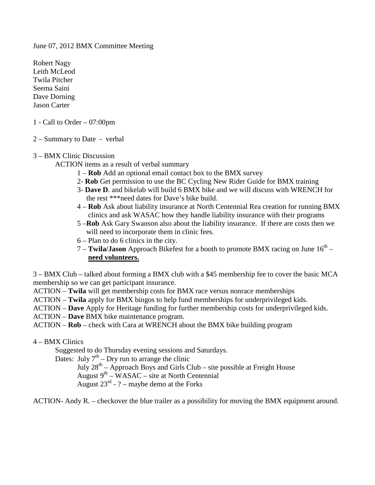June 07, 2012 BMX Committee Meeting

Robert Nagy Leith McLeod Twila Pitcher Seema Saini Dave Dorning Jason Carter

- 1 Call to Order 07:00pm
- 2 Summary to Date verbal

## 3 – BMX Clinic Discussion

ACTION items as a result of verbal summary

- 1 **Rob** Add an optional email contact box to the BMX survey
- 2- **Rob** Get permission to use the BC Cycling New Rider Guide for BMX training
- 3- **Dave D**. and bikelab will build 6 BMX bike and we will discuss with WRENCH for the rest \*\*\*need dates for Dave's bike build.
- 4 **Rob** Ask about liability insurance at North Centennial Rea creation for running BMX clinics and ask WASAC how they handle liability insurance with their programs
- 5 –**Rob** Ask Gary Swanson also about the liability insurance. If there are costs then we will need to incorporate them in clinic fees.
- 6 Plan to do 6 clinics in the city.
- 7 **Twila/Jason** Approach Bikefest for a booth to promote BMX racing on June 16th **need volunteers.**

3 – BMX Club – talked about forming a BMX club with a \$45 membership fee to cover the basic MCA membership so we can get participant insurance.

ACTION – **Twila** will get membership costs for BMX race versus nonrace memberships

- ACTION **Twila** apply for BMX bingos to help fund memberships for underprivileged kids.
- ACTION **Dave** Apply for Heritage funding for further membership costs for underprivileged kids.

ACTION – **Dave** BMX bike maintenance program.

ACTION – **Rob** – check with Cara at WRENCH about the BMX bike building program

4 – BMX Clinics

Suggested to do Thursday evening sessions and Saturdays.

Dates: July  $7<sup>th</sup>$  – Dry run to arrange the clinic

July  $28^{th}$  – Approach Boys and Girls Club – site possible at Freight House August  $9<sup>th</sup> - WASAC - site$  at North Centennial August  $23^{rd}$  - ? – maybe demo at the Forks

ACTION- Andy R. – checkover the blue trailer as a possibility for moving the BMX equipment around.